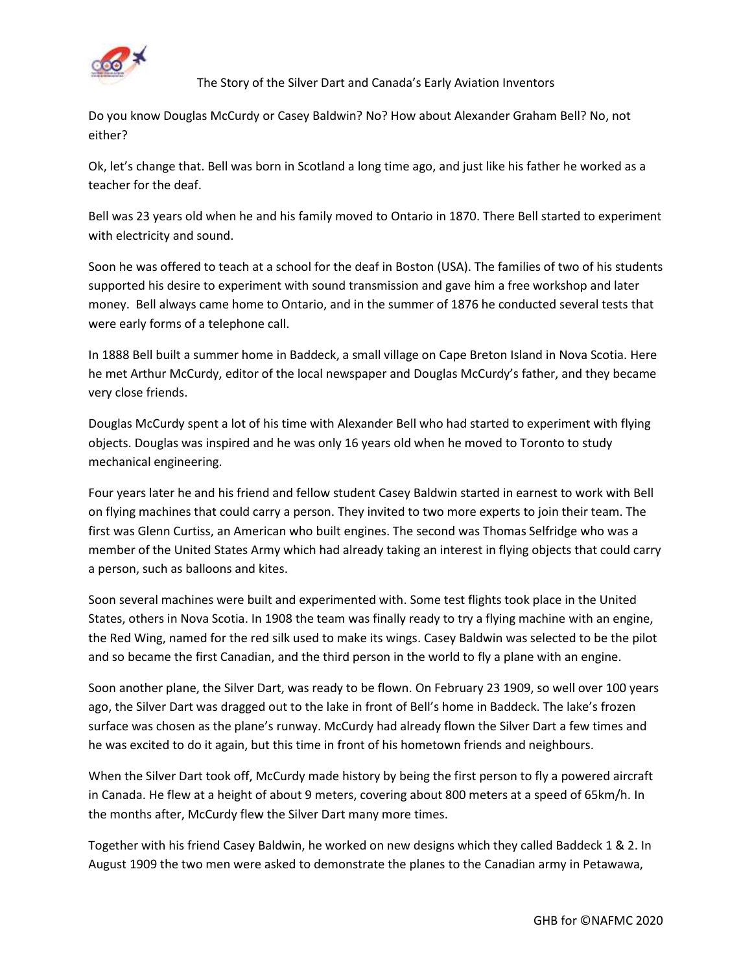

The Story of the Silver Dart and Canada's Early Aviation Inventors

Do you know Douglas McCurdy or Casey Baldwin? No? How about Alexander Graham Bell? No, not either?

Ok, let's change that. Bell was born in Scotland a long time ago, and just like his father he worked as a teacher for the deaf.

Bell was 23 years old when he and his family moved to Ontario in 1870. There Bell started to experiment with electricity and sound.

Soon he was offered to teach at a school for the deaf in Boston (USA). The families of two of his students supported his desire to experiment with sound transmission and gave him a free workshop and later money. Bell always came home to Ontario, and in the summer of 1876 he conducted several tests that were early forms of a telephone call.

In 1888 Bell built a summer home in Baddeck, a small village on Cape Breton Island in Nova Scotia. Here he met Arthur McCurdy, editor of the local newspaper and Douglas McCurdy's father, and they became very close friends.

Douglas McCurdy spent a lot of his time with Alexander Bell who had started to experiment with flying objects. Douglas was inspired and he was only 16 years old when he moved to Toronto to study mechanical engineering.

Four years later he and his friend and fellow student Casey Baldwin started in earnest to work with Bell on flying machines that could carry a person. They invited to two more experts to join their team. The first was Glenn Curtiss, an American who built engines. The second was Thomas Selfridge who was a member of the United States Army which had already taking an interest in flying objects that could carry a person, such as balloons and kites.

Soon several machines were built and experimented with. Some test flights took place in the United States, others in Nova Scotia. In 1908 the team was finally ready to try a flying machine with an engine, the Red Wing, named for the red silk used to make its wings. Casey Baldwin was selected to be the pilot and so became the first Canadian, and the third person in the world to fly a plane with an engine.

Soon another plane, the Silver Dart, was ready to be flown. On February 23 1909, so well over 100 years ago, the Silver Dart was dragged out to the lake in front of Bell's home in Baddeck. The lake's frozen surface was chosen as the plane's runway. McCurdy had already flown the Silver Dart a few times and he was excited to do it again, but this time in front of his hometown friends and neighbours.

When the Silver Dart took off, McCurdy made history by being the first person to fly a powered aircraft in Canada. He flew at a height of about 9 meters, covering about 800 meters at a speed of 65km/h. In the months after, McCurdy flew the Silver Dart many more times.

Together with his friend Casey Baldwin, he worked on new designs which they called Baddeck 1 & 2. In August 1909 the two men were asked to demonstrate the planes to the Canadian army in Petawawa,